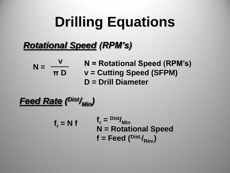# **Drilling Equations**

### *Rotational Speed (RPM's)*

$$
N = \frac{v}{\pi D} \qquad N = Rotational Speed (RPM's)
$$
  

$$
v = Cutting Speed (SFPM)
$$
  

$$
D = Drill Diameter
$$

*Feed Rate ( Dist/Min)*

 $f_r = N f$   $f_r = \frac{Dist}{Min}$ **N = Rotational Speed**  $f = \text{Feed}(\text{Dist.}_{R_{\text{av}}})$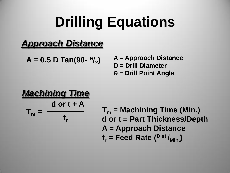# **Drilling Equations**

### *Approach Distance*

**A = 0.5 D Tan(90- ϴ/2 )**

**A = Approach Distance D = Drill Diameter ϴ = Drill Point Angle**

#### *Machining Time*  $T_m =$ **d or t + A fr**

**T<sup>m</sup> = Machining Time (Min.) d or t = Part Thickness/Depth A = Approach Distance**  $f_r$  = Feed Rate  $(\frac{Dist.}{Min})$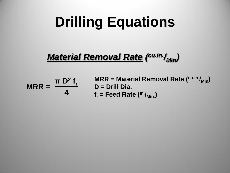# **Drilling Equations**

### *Material Removal Rate ( cu.in./Min)*

**MRR = π D<sup>2</sup> fr 4**

**MRR = Material Removal Rate (cu.in./Min) D = Drill Dia.**  $f_r$  = Feed Rate ( $ln f_{\text{Min}}$ )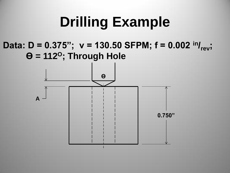### **Drilling Example**

#### **Data: D = 0.375"; v = 130.50 SFPM; f = 0.002 in/ rev;**  $\theta$  = 112<sup>o</sup>; Through Hole

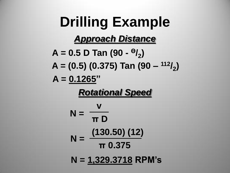**Drilling Example** *Approach Distance* **A = 0.5 D Tan (90 - Ө/2 ) A = (0.5) (0.375) Tan (90 – <sup>112</sup>/<sup>2</sup> ) A = 0.1265"** *Rotational Speed* **N = v π D N = (130.50) (12) π 0.375 N = 1,329.3718 RPM's**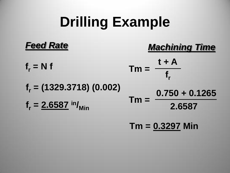## **Drilling Example**



**Tm = 0.3297 Min**